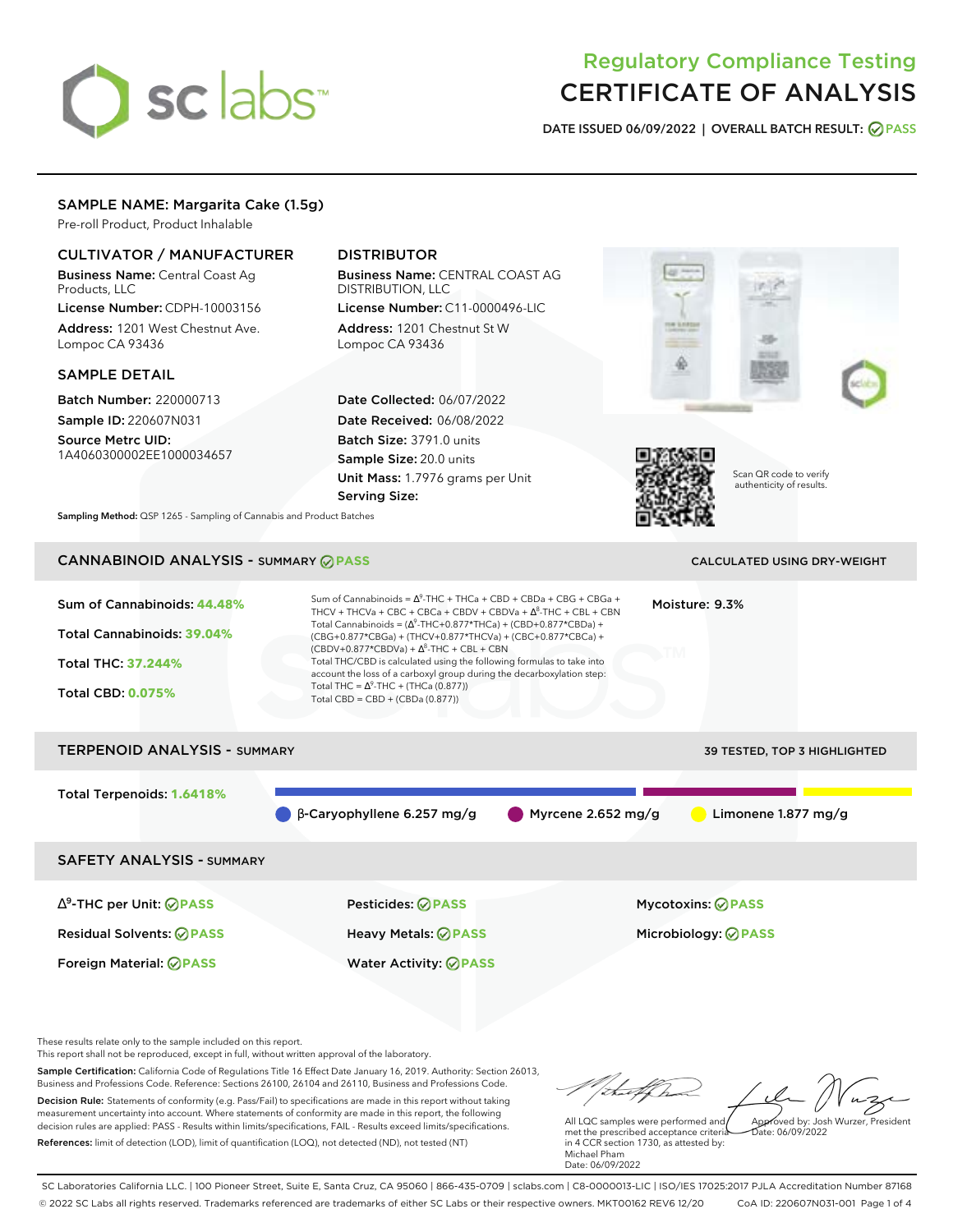# sclabs<sup>\*</sup>

# Regulatory Compliance Testing CERTIFICATE OF ANALYSIS

**DATE ISSUED 06/09/2022 | OVERALL BATCH RESULT: PASS**

# SAMPLE NAME: Margarita Cake (1.5g)

Pre-roll Product, Product Inhalable

# CULTIVATOR / MANUFACTURER

Business Name: Central Coast Ag Products, LLC

License Number: CDPH-10003156 Address: 1201 West Chestnut Ave. Lompoc CA 93436

# SAMPLE DETAIL

Batch Number: 220000713 Sample ID: 220607N031

Source Metrc UID: 1A4060300002EE1000034657

# DISTRIBUTOR

Business Name: CENTRAL COAST AG DISTRIBUTION, LLC License Number: C11-0000496-LIC

Address: 1201 Chestnut St W Lompoc CA 93436

Date Collected: 06/07/2022 Date Received: 06/08/2022 Batch Size: 3791.0 units Sample Size: 20.0 units Unit Mass: 1.7976 grams per Unit Serving Size:





Scan QR code to verify authenticity of results.

**Sampling Method:** QSP 1265 - Sampling of Cannabis and Product Batches

# CANNABINOID ANALYSIS - SUMMARY **PASS** CALCULATED USING DRY-WEIGHT

| Sum of Cannabinoids: 44.48%<br>Total Cannabinoids: 39.04%<br>Total THC: 37.244%<br><b>Total CBD: 0.075%</b> | Sum of Cannabinoids = $\Delta^9$ -THC + THCa + CBD + CBDa + CBG + CBGa +<br>THCV + THCVa + CBC + CBCa + CBDV + CBDVa + $\Delta^8$ -THC + CBL + CBN<br>Total Cannabinoids = $(\Delta^9$ -THC+0.877*THCa) + (CBD+0.877*CBDa) +<br>(CBG+0.877*CBGa) + (THCV+0.877*THCVa) + (CBC+0.877*CBCa) +<br>$(CBDV+0.877*CBDVa) + \Delta^{8}$ -THC + CBL + CBN<br>Total THC/CBD is calculated using the following formulas to take into<br>account the loss of a carboxyl group during the decarboxylation step:<br>Total THC = $\Delta^9$ -THC + (THCa (0.877))<br>Total CBD = CBD + (CBDa (0.877)) |                      | Moisture: 9.3%                      |
|-------------------------------------------------------------------------------------------------------------|----------------------------------------------------------------------------------------------------------------------------------------------------------------------------------------------------------------------------------------------------------------------------------------------------------------------------------------------------------------------------------------------------------------------------------------------------------------------------------------------------------------------------------------------------------------------------------------|----------------------|-------------------------------------|
| <b>TERPENOID ANALYSIS - SUMMARY</b>                                                                         |                                                                                                                                                                                                                                                                                                                                                                                                                                                                                                                                                                                        |                      | <b>39 TESTED, TOP 3 HIGHLIGHTED</b> |
| Total Terpenoids: 1.6418%                                                                                   | $\beta$ -Caryophyllene 6.257 mg/g                                                                                                                                                                                                                                                                                                                                                                                                                                                                                                                                                      | Myrcene $2.652$ mg/g | Limonene 1.877 mg/g                 |
| <b>SAFETY ANALYSIS - SUMMARY</b>                                                                            |                                                                                                                                                                                                                                                                                                                                                                                                                                                                                                                                                                                        |                      |                                     |
| $\Delta^9$ -THC per Unit: $\oslash$ PASS                                                                    | Pesticides: ⊘PASS                                                                                                                                                                                                                                                                                                                                                                                                                                                                                                                                                                      |                      | <b>Mycotoxins: ⊘PASS</b>            |

Residual Solvents: **PASS** Heavy Metals: **PASS** Microbiology: **PASS**

These results relate only to the sample included on this report.

This report shall not be reproduced, except in full, without written approval of the laboratory.

Sample Certification: California Code of Regulations Title 16 Effect Date January 16, 2019. Authority: Section 26013, Business and Professions Code. Reference: Sections 26100, 26104 and 26110, Business and Professions Code. Decision Rule: Statements of conformity (e.g. Pass/Fail) to specifications are made in this report without taking measurement uncertainty into account. Where statements of conformity are made in this report, the following decision rules are applied: PASS - Results within limits/specifications, FAIL - Results exceed limits/specifications.

Foreign Material: **PASS** Water Activity: **PASS**

References: limit of detection (LOD), limit of quantification (LOQ), not detected (ND), not tested (NT)

tu of h Approved by: Josh Wurzer, President

Date: 06/09/2022

All LQC samples were performed and met the prescribed acceptance criteria in 4 CCR section 1730, as attested by: Michael Pham Date: 06/09/2022

SC Laboratories California LLC. | 100 Pioneer Street, Suite E, Santa Cruz, CA 95060 | 866-435-0709 | sclabs.com | C8-0000013-LIC | ISO/IES 17025:2017 PJLA Accreditation Number 87168 © 2022 SC Labs all rights reserved. Trademarks referenced are trademarks of either SC Labs or their respective owners. MKT00162 REV6 12/20 CoA ID: 220607N031-001 Page 1 of 4